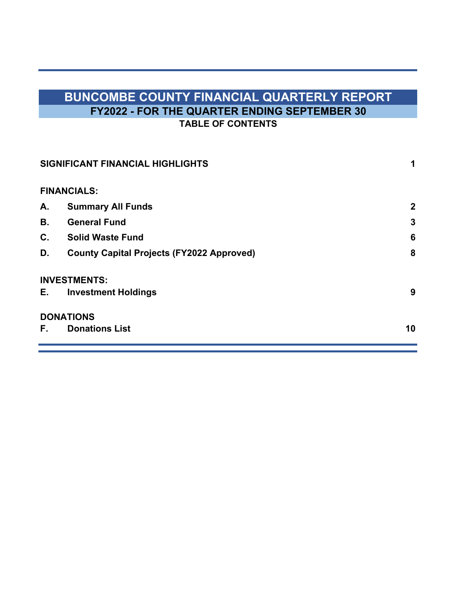# **BUNCOMBE COUNTY FINANCIAL QUARTERLY REPORT FY2022 - FOR THE QUARTER ENDING SEPTEMBER 30 TABLE OF CONTENTS**

|     | SIGNIFICANT FINANCIAL HIGHLIGHTS                 | 1           |
|-----|--------------------------------------------------|-------------|
|     | <b>FINANCIALS:</b>                               |             |
| А.  | <b>Summary All Funds</b>                         | $\mathbf 2$ |
| В.  | <b>General Fund</b>                              | 3           |
| C.  | <b>Solid Waste Fund</b>                          | 6           |
| D.  | <b>County Capital Projects (FY2022 Approved)</b> | 8           |
|     | <b>INVESTMENTS:</b>                              |             |
| E., | <b>Investment Holdings</b>                       | 9           |
|     | <b>DONATIONS</b>                                 |             |
| F.  | <b>Donations List</b>                            | 10          |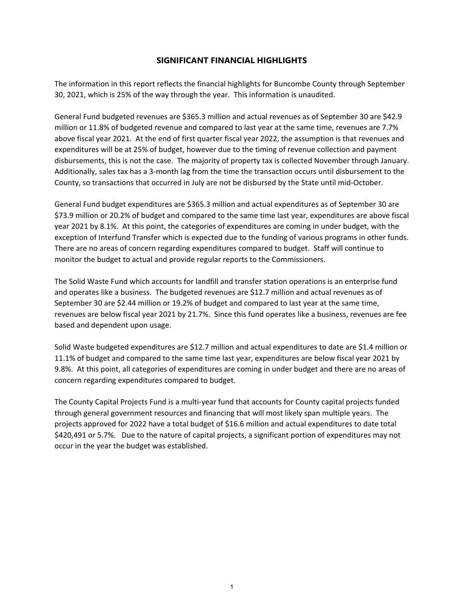## **SIGNIFICANT FINANCIAL HIGHLIGHTS**

The information in this report reflects the financial highlights for Buncombe County through September 30, 2021, which is 25% of the way through the year. This information is unaudited.

General Fund budgeted revenues are \$365.3 million and actual revenues as of September 30 are \$42.9 million or 11.8% of budgeted revenue and compared to last year at the same time, revenues are 7.7% above fiscal year 2021. At the end of first quarter fiscal year 2022, the assumption is that revenues and expenditures will be at 25% of budget, however due to the timing of revenue collection and payment disbursements, this is not the case. The majority of property tax is collected November through January. Additionally, sales tax has a 3‐month lag from the time the transaction occurs until disbursement to the County, so transactions that occurred in July are not be disbursed by the State until mid‐October.

General Fund budget expenditures are \$365.3 million and actual expenditures as of September 30 are \$73.9 million or 20.2% of budget and compared to the same time last year, expenditures are above fiscal year 2021 by 8.1%. At this point, the categories of expenditures are coming in under budget, with the exception of Interfund Transfer which is expected due to the funding of various programs in other funds. There are no areas of concern regarding expenditures compared to budget. Staff will continue to monitor the budget to actual and provide regular reports to the Commissioners.

The Solid Waste Fund which accounts for landfill and transfer station operations is an enterprise fund and operates like a business. The budgeted revenues are \$12.7 million and actual revenues as of September 30 are \$2.44 million or 19.2% of budget and compared to last year at the same time, revenues are below fiscal year 2021 by 21.7%. Since this fund operates like a business, revenues are fee based and dependent upon usage.

Solid Waste budgeted expenditures are \$12.7 million and actual expenditures to date are \$1.4 million or 11.1% of budget and compared to the same time last year, expenditures are below fiscal year 2021 by 9.8%. At this point, all categories of expenditures are coming in under budget and there are no areas of concern regarding expenditures compared to budget.

The County Capital Projects Fund is a multi‐year fund that accounts for County capital projects funded through general government resources and financing that will most likely span multiple years. The projects approved for 2022 have a total budget of \$16.6 million and actual expenditures to date total \$420,491 or 5.7%. Due to the nature of capital projects, a significant portion of expenditures may not occur in the year the budget was established.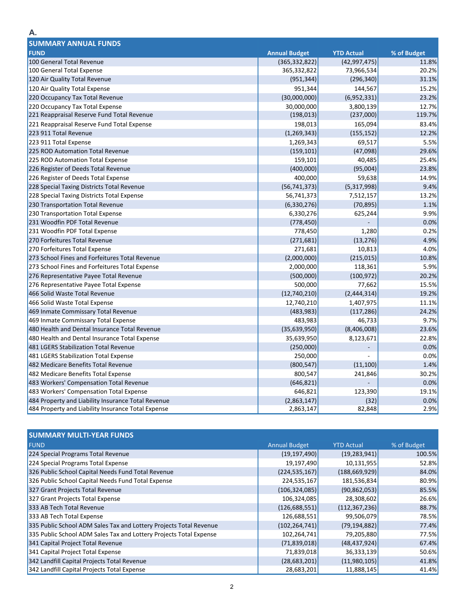| <b>SUMMARY ANNUAL FUNDS</b>                        |                      |                   |             |  |  |  |
|----------------------------------------------------|----------------------|-------------------|-------------|--|--|--|
| <b>FUND</b>                                        | <b>Annual Budget</b> | <b>YTD Actual</b> | % of Budget |  |  |  |
| 100 General Total Revenue                          | (365, 332, 822)      | (42, 997, 475)    | 11.8%       |  |  |  |
| 100 General Total Expense                          | 365,332,822          | 73,966,534        | 20.2%       |  |  |  |
| 120 Air Quality Total Revenue                      | (951, 344)           | (296, 340)        | 31.1%       |  |  |  |
| 120 Air Quality Total Expense                      | 951,344              | 144,567           | 15.2%       |  |  |  |
| 220 Occupancy Tax Total Revenue                    | (30,000,000)         | (6,952,331)       | 23.2%       |  |  |  |
| 220 Occupancy Tax Total Expense                    | 30,000,000           | 3,800,139         | 12.7%       |  |  |  |
| 221 Reappraisal Reserve Fund Total Revenue         | (198, 013)           | (237,000)         | 119.7%      |  |  |  |
| 221 Reappraisal Reserve Fund Total Expense         | 198,013              | 165,094           | 83.4%       |  |  |  |
| 223 911 Total Revenue                              | (1, 269, 343)        | (155, 152)        | 12.2%       |  |  |  |
| 223 911 Total Expense                              | 1,269,343            | 69,517            | 5.5%        |  |  |  |
| 225 ROD Automation Total Revenue                   | (159, 101)           | (47,098)          | 29.6%       |  |  |  |
| 225 ROD Automation Total Expense                   | 159,101              | 40,485            | 25.4%       |  |  |  |
| 226 Register of Deeds Total Revenue                | (400,000)            | (95,004)          | 23.8%       |  |  |  |
| 226 Register of Deeds Total Expense                | 400,000              | 59,638            | 14.9%       |  |  |  |
| 228 Special Taxing Districts Total Revenue         | (56, 741, 373)       | (5,317,998)       | 9.4%        |  |  |  |
| 228 Special Taxing Districts Total Expense         | 56,741,373           | 7,512,157         | 13.2%       |  |  |  |
| 230 Transportation Total Revenue                   | (6, 330, 276)        | (70, 895)         | 1.1%        |  |  |  |
| 230 Transportation Total Expense                   | 6,330,276            | 625,244           | 9.9%        |  |  |  |
| 231 Woodfin PDF Total Revenue                      | (778, 450)           |                   | 0.0%        |  |  |  |
| 231 Woodfin PDF Total Expense                      | 778,450              | 1,280             | 0.2%        |  |  |  |
| 270 Forfeitures Total Revenue                      | (271, 681)           | (13, 276)         | 4.9%        |  |  |  |
| 270 Forfeitures Total Expense                      | 271,681              | 10,813            | 4.0%        |  |  |  |
| 273 School Fines and Forfeitures Total Revenue     | (2,000,000)          | (215, 015)        | 10.8%       |  |  |  |
| 273 School Fines and Forfeitures Total Expense     | 2,000,000            | 118,361           | 5.9%        |  |  |  |
| 276 Representative Payee Total Revenue             | (500,000)            | (100, 972)        | 20.2%       |  |  |  |
| 276 Representative Payee Total Expense             | 500,000              | 77,662            | 15.5%       |  |  |  |
| 466 Solid Waste Total Revenue                      | (12,740,210)         | (2,444,314)       | 19.2%       |  |  |  |
| 466 Solid Waste Total Expense                      | 12,740,210           | 1,407,975         | 11.1%       |  |  |  |
| 469 Inmate Commissary Total Revenue                | (483, 983)           | (117, 286)        | 24.2%       |  |  |  |
| 469 Inmate Commissary Total Expense                | 483,983              | 46,733            | 9.7%        |  |  |  |
| 480 Health and Dental Insurance Total Revenue      | (35, 639, 950)       | (8,406,008)       | 23.6%       |  |  |  |
| 480 Health and Dental Insurance Total Expense      | 35,639,950           | 8,123,671         | 22.8%       |  |  |  |
| 481 LGERS Stabilization Total Revenue              | (250,000)            |                   | 0.0%        |  |  |  |
| 481 LGERS Stabilization Total Expense              | 250,000              | L.                | 0.0%        |  |  |  |
| 482 Medicare Benefits Total Revenue                | (800, 547)           | (11, 100)         | 1.4%        |  |  |  |
| 482 Medicare Benefits Total Expense                | 800,547              | 241,846           | 30.2%       |  |  |  |
| 483 Workers' Compensation Total Revenue            | (646, 821)           |                   | 0.0%        |  |  |  |
| 483 Workers' Compensation Total Expense            | 646,821              | 123,390           | 19.1%       |  |  |  |
| 484 Property and Liability Insurance Total Revenue | (2,863,147)          | (32)              | 0.0%        |  |  |  |
| 484 Property and Liability Insurance Total Expense | 2,863,147            | 82,848            | 2.9%        |  |  |  |

| <b>SUMMARY MULTI-YEAR FUNDS</b>                                    |                      |                   |             |  |  |  |  |
|--------------------------------------------------------------------|----------------------|-------------------|-------------|--|--|--|--|
| <b>FUND</b>                                                        | <b>Annual Budget</b> | <b>YTD Actual</b> | % of Budget |  |  |  |  |
| 224 Special Programs Total Revenue                                 | (19, 197, 490)       | (19, 283, 941)    | 100.5%      |  |  |  |  |
| 224 Special Programs Total Expense                                 | 19,197,490           | 10,131,955        | 52.8%       |  |  |  |  |
| 326 Public School Capital Needs Fund Total Revenue                 | (224, 535, 167)      | (188, 669, 929)   | 84.0%       |  |  |  |  |
| 326 Public School Capital Needs Fund Total Expense                 | 224,535,167          | 181,536,834       | 80.9%       |  |  |  |  |
| 327 Grant Projects Total Revenue                                   | (106, 324, 085)      | (90, 862, 053)    | 85.5%       |  |  |  |  |
| 327 Grant Projects Total Expense                                   | 106,324,085          | 28,308,602        | 26.6%       |  |  |  |  |
| 333 AB Tech Total Revenue                                          | (126, 688, 551)      | (112, 367, 236)   | 88.7%       |  |  |  |  |
| 333 AB Tech Total Expense                                          | 126,688,551          | 99,506,079        | 78.5%       |  |  |  |  |
| 335 Public School ADM Sales Tax and Lottery Projects Total Revenue | (102, 264, 741)      | (79, 194, 882)    | 77.4%       |  |  |  |  |
| 335 Public School ADM Sales Tax and Lottery Projects Total Expense | 102,264,741          | 79,205,880        | 77.5%       |  |  |  |  |
| 341 Capital Project Total Revenue                                  | (71,839,018)         | (48, 437, 924)    | 67.4%       |  |  |  |  |
| 341 Capital Project Total Expense                                  | 71,839,018           | 36,333,139        | 50.6%       |  |  |  |  |
| 342 Landfill Capital Projects Total Revenue                        | (28, 683, 201)       | (11,980,105)      | 41.8%       |  |  |  |  |
| 342 Landfill Capital Projects Total Expense                        | 28,683,201           | 11,888,145        | 41.4%       |  |  |  |  |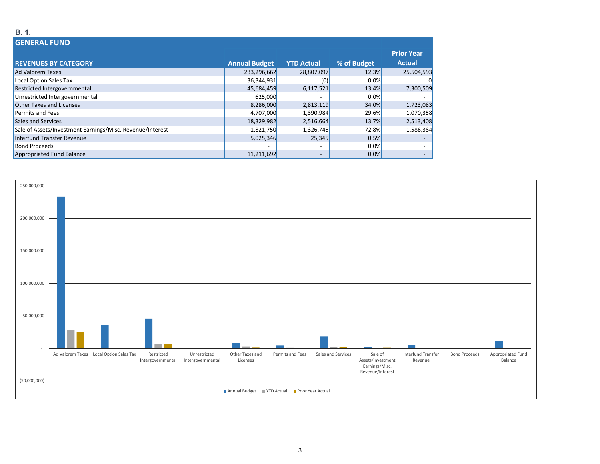#### **B. 1.GENERAL FUNDREVENUES BY CATEGORY Annual Budget YTD Actual % of Budget Prior Year Actual**Ad Valoremm Taxes 25,504,593 23,296,662 233,296,662 28,807,097 28,807,097 25,304,593 Local Option Sales Tax 36,344,931 (0) 0.0% 0 Restricted Intergovernmental 13.4% 7,300,509 and the stricted Intergovernmental 13.4% 7,300,509 Unrestricted Intergovernmental 625,000 0.0% -Other Taxes andd Licenses 8,286,000 2,813,119 34.0% 34.0% 1,723,083 1,723,083 1,723,083 1,723,083 Permits and Fees 4,707,000 1,390,984 29.6% 1,070,358 Sales and Services 18,329,982 2,516,664 13.7% 2,513,408 Sale of Assets/Investment Earnings/Misc. Revenue/Interest 1,8201,750 1,821,750 1,326,745 1,326,745 72.8% 1,586,384 Interfund Transfer Revenue 5,025,346 25,345 0.5% ‐ **Bond Proceeds**  Proceeds ‐ ‐ 0.0% ‐ Appropriated Fund Balance 11,211,692 **11,211,692 • 11,211,692 • 11,211,692 • 12,00%** • 12,00%

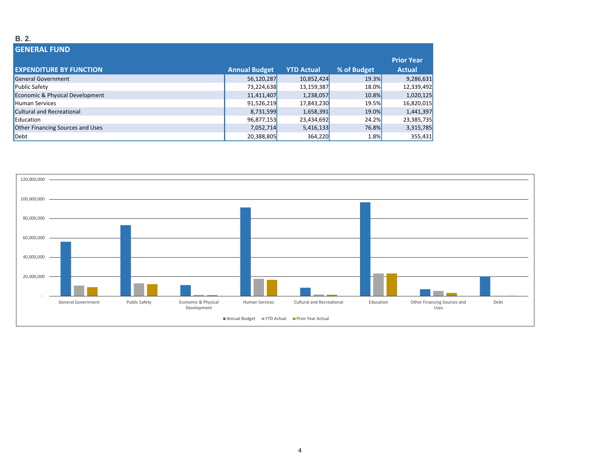### **B. 2.**

| <b>GENERAL FUND</b>                     |                      |                   |             |                   |
|-----------------------------------------|----------------------|-------------------|-------------|-------------------|
|                                         |                      |                   |             | <b>Prior Year</b> |
| <b>EXPENDITURE BY FUNCTION</b>          | <b>Annual Budget</b> | <b>YTD Actual</b> | % of Budget | <b>Actual</b>     |
| General Government                      | 56,120,287           | 10,852,424        | 19.3%       | 9,286,631         |
| <b>Public Safety</b>                    | 73,224,638           | 13,159,387        | 18.0%       | 12,339,492        |
| Economic & Physical Development         | 11,411,407           | 1,238,057         | 10.8%       | 1,020,125         |
| <b>Human Services</b>                   | 91,526,219           | 17,843,230        | 19.5%       | 16,820,015        |
| Cultural and Recreational               | 8,731,599            | 1,658,391         | 19.0%       | 1,441,397         |
| Education                               | 96,877,153           | 23,434,692        | 24.2%       | 23,385,735        |
| <b>Other Financing Sources and Uses</b> | 7,052,714            | 5,416,133         | 76.8%       | 3,315,785         |
| $\blacksquare$                          | 20,388,805           | 364,220           | 1.8%        | 355,431           |

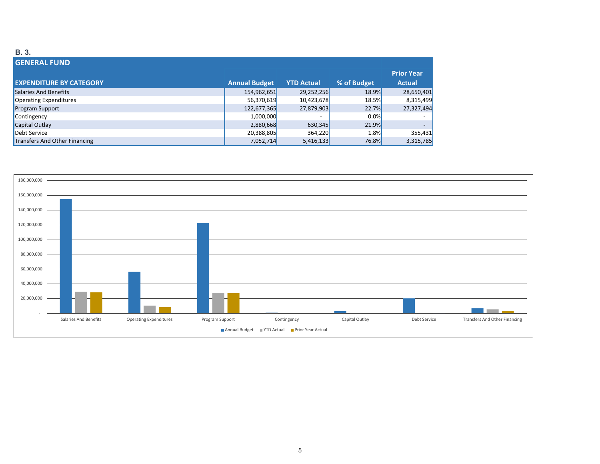### **B. 3.**

| <b>GENERAL FUND</b>            |                      |                   |             |                   |
|--------------------------------|----------------------|-------------------|-------------|-------------------|
|                                |                      |                   |             | <b>Prior Year</b> |
| <b>EXPENDITURE BY CATEGORY</b> | <b>Annual Budget</b> | <b>YTD Actual</b> | % of Budget | <b>Actual</b>     |
| Salaries And Benefits          | 154,962,651          | 29,252,256        | 18.9%       | 28,650,401        |
| Operating Expenditures         | 56,370,619           | 10,423,678        | 18.5%       | 8,315,499         |
| <b>Program Support</b>         | 122,677,365          | 27,879,903        | 22.7%       | 27,327,494        |
| Contingency                    | 1,000,000            | <b>.</b>          | 0.0%        |                   |
| Capital Outlay                 | 2,880,668            | 630,345           | 21.9%       |                   |
| Debt Service                   | 20,388,805           | 364,220           | 1.8%        | 355,431           |
| Transfers And Other Financing  | 7,052,714            | 5,416,133         | 76.8%       | 3,315,785         |

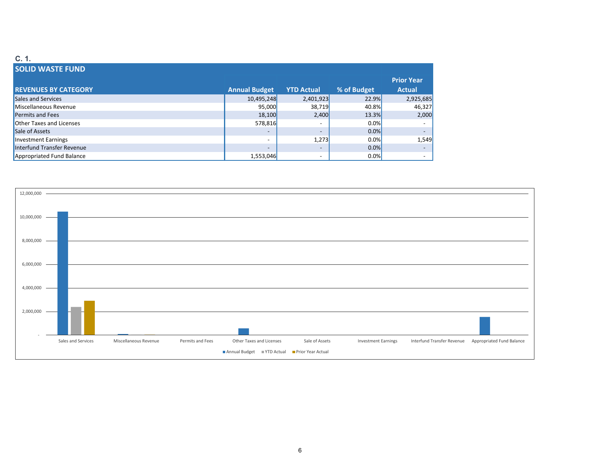#### **C. 1.SOLID WASTE FUND REVENUES BY CATEGORY Annual Budget YTD Actual % of Budget Prior Year Actual** Sales and Services 10,495,248 2,401,923 22.9% 2,925,685 Miscellaneous Revenuee 95,000 38,719 40.8% 46,327 Permits and Fees 18,100 2,400 13.3% 2,000 Other Taxes and Licenses 578,816 ‐ 0.0% ‐ Sale of Assets of Assets ‐ ‐ 0.0% ‐ Investment Earnings Earnings ‐ 1,273 0.0% 1,549 Interfund Transfer Revenue ‐ ‐ 0.0% $0.0\%$ Appropriated Fund Balance **1,553,046 1,553,046 1,553,046 1,000 • 1,553,046 1,000 • 1,000 • 1,000 • 1,000 • 1,000 • 1,000 • 1,000 • 1,000 • 1,000 • 1,000 • 1,000 • 1,000 • 1,000 • 1,000 • 1,000 • 1,000 • 1,000 • 1,0**

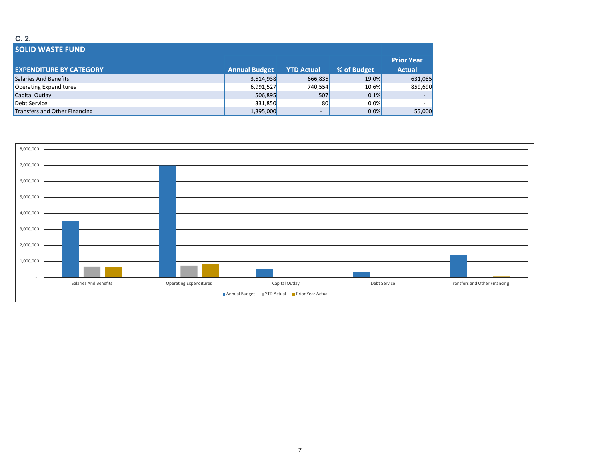### **C. 2.**

| <b>SOLID WASTE FUND</b>        |                      |                          |             |                   |
|--------------------------------|----------------------|--------------------------|-------------|-------------------|
|                                |                      |                          |             | <b>Prior Year</b> |
| <b>EXPENDITURE BY CATEGORY</b> | <b>Annual Budget</b> | <b>YTD Actual</b>        | % of Budget | <b>Actual</b>     |
| Salaries And Benefits          | 3,514,938            | 666,835                  | 19.0%       | 631,085           |
| Operating Expenditures         | 6,991,527            | 740,554                  | 10.6%       | 859,690           |
| Capital Outlay                 | 506,895              | 507                      | 0.1%        |                   |
| Debt Service                   | 331,850              | 80                       | $0.0\%$     |                   |
| Transfers and Other Financing  | 1,395,000            | $\overline{\phantom{0}}$ | 0.0%        | 55,000            |

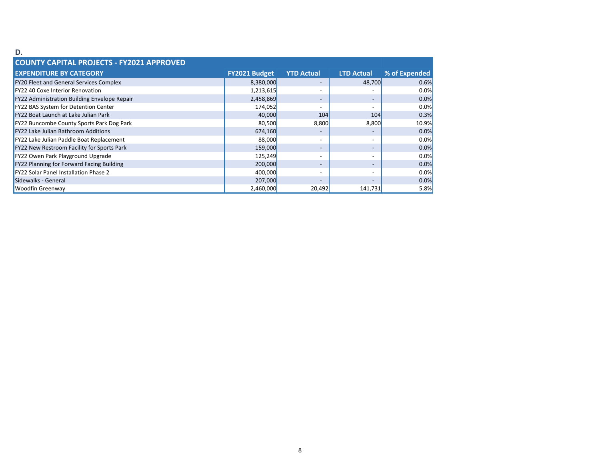#### **D.**

| <b>COUNTY CAPITAL PROJECTS - FY2021 APPROVED</b> |                      |                          |                          |               |
|--------------------------------------------------|----------------------|--------------------------|--------------------------|---------------|
| <b>EXPENDITURE BY CATEGORY</b>                   | <b>FY2021 Budget</b> | <b>YTD Actual</b>        | <b>LTD Actual</b>        | % of Expended |
| <b>FY20 Fleet and General Services Complex</b>   | 8,380,000            |                          | 48,700                   | 0.6%          |
| FY22 40 Coxe Interior Renovation                 | 1,213,615            |                          |                          | 0.0%          |
| FY22 Administration Building Envelope Repair     | 2,458,869            |                          | $\overline{\phantom{a}}$ | 0.0%          |
| FY22 BAS System for Detention Center             | 174,052              |                          | $\overline{\phantom{0}}$ | 0.0%          |
| FY22 Boat Launch at Lake Julian Park             | 40,000               | 104                      | 104                      | 0.3%          |
| FY22 Buncombe County Sports Park Dog Park        | 80,500               | 8,800                    | 8,800                    | 10.9%         |
| <b>FY22 Lake Julian Bathroom Additions</b>       | 674,160              |                          | $\overline{\phantom{0}}$ | 0.0%          |
| FY22 Lake Julian Paddle Boat Replacement         | 88,000               |                          | -                        | 0.0%          |
| FY22 New Restroom Facility for Sports Park       | 159,000              |                          | $\overline{\phantom{0}}$ | 0.0%          |
| FY22 Owen Park Playground Upgrade                | 125,249              |                          | $\overline{\phantom{0}}$ | 0.0%          |
| FY22 Planning for Forward Facing Building        | 200,000              |                          | $\overline{\phantom{a}}$ | 0.0%          |
| <b>FY22 Solar Panel Installation Phase 2</b>     | 400,000              | $\overline{\phantom{a}}$ | $\overline{\phantom{0}}$ | 0.0%          |
| Sidewalks - General                              | 207,000              |                          |                          | 0.0%          |
| <b>Woodfin Greenway</b>                          | 2,460,000            | 20,492                   | 141,731                  | 5.8%          |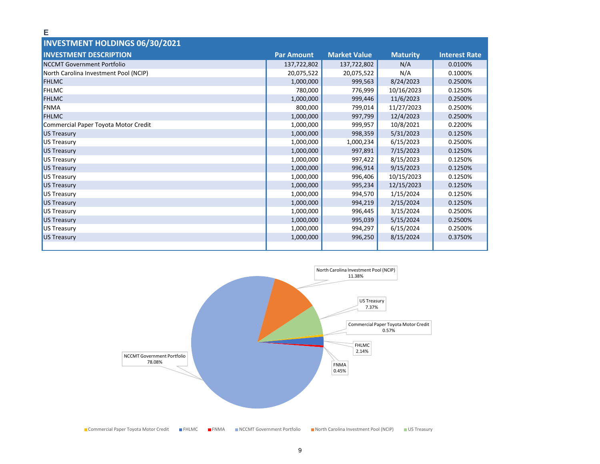| <b>INVESTMENT HOLDINGS 06/30/2021</b> |                   |                     |                 |                      |
|---------------------------------------|-------------------|---------------------|-----------------|----------------------|
| <b>INVESTMENT DESCRIPTION</b>         | <b>Par Amount</b> | <b>Market Value</b> | <b>Maturity</b> | <b>Interest Rate</b> |
| NCCMT Government Portfolio            | 137,722,802       | 137,722,802         | N/A             | 0.0100%              |
| North Carolina Investment Pool (NCIP) | 20,075,522        | 20,075,522          | N/A             | 0.1000%              |
| <b>FHLMC</b>                          | 1,000,000         | 999,563             | 8/24/2023       | 0.2500%              |
| <b>FHLMC</b>                          | 780,000           | 776,999             | 10/16/2023      | 0.1250%              |
| <b>FHLMC</b>                          | 1,000,000         | 999,446             | 11/6/2023       | 0.2500%              |
| FNMA                                  | 800,000           | 799,014             | 11/27/2023      | 0.2500%              |
| <b>FHLMC</b>                          | 1,000,000         | 997,799             | 12/4/2023       | 0.2500%              |
| Commercial Paper Toyota Motor Credit  | 1,000,000         | 999,957             | 10/8/2021       | 0.2200%              |
| US Treasury                           | 1,000,000         | 998,359             | 5/31/2023       | 0.1250%              |
| US Treasury                           | 1,000,000         | 1,000,234           | 6/15/2023       | 0.2500%              |
| US Treasury                           | 1,000,000         | 997,891             | 7/15/2023       | 0.1250%              |
| US Treasury                           | 1,000,000         | 997,422             | 8/15/2023       | 0.1250%              |
| US Treasury                           | 1,000,000         | 996,914             | 9/15/2023       | 0.1250%              |
| US Treasury                           | 1,000,000         | 996,406             | 10/15/2023      | 0.1250%              |
| US Treasury                           | 1,000,000         | 995,234             | 12/15/2023      | 0.1250%              |
| US Treasury                           | 1,000,000         | 994,570             | 1/15/2024       | 0.1250%              |
| US Treasury                           | 1,000,000         | 994,219             | 2/15/2024       | 0.1250%              |
| US Treasury                           | 1,000,000         | 996,445             | 3/15/2024       | 0.2500%              |
| US Treasury                           | 1,000,000         | 995,039             | 5/15/2024       | 0.2500%              |
| US Treasury                           | 1,000,000         | 994,297             | 6/15/2024       | 0.2500%              |
| US Treasury                           | 1,000,000         | 996,250             | 8/15/2024       | 0.3750%              |
|                                       |                   |                     |                 |                      |

**E**



9